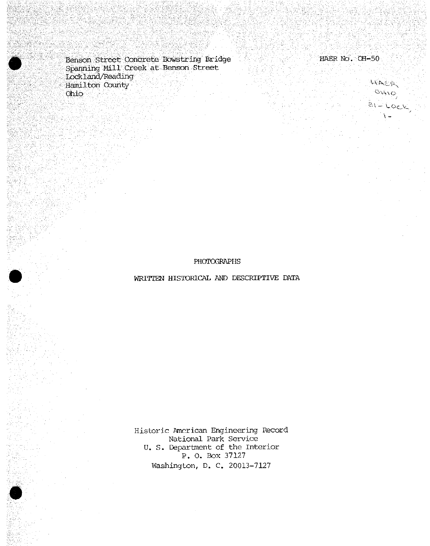Benson Street Concrete Bowstring Bridge (1998) 1998 HAER No. OH-50 Spanning Mill Creek at Benson Street Lockland/Reading Hamilton County Ohio ...  $\mathcal{N}$  is able to - °^\o*<sup>j</sup>*

WAER,  $81 - \text{Lock}$ 

## PHOTOGRAPHS

WRITTEN HISTORICAL AND DESCRIPTIVE DATA

Historic American Engineering Record National Park Service U. S. Department of the Interior P. 0. Box 37127 Washington, D. C. 20013-7127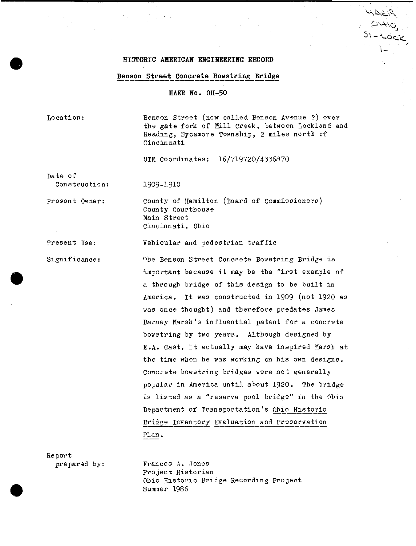## **HISTORIC AMERICAN ENGINEERING RECORD**

## **Benson Street Concrete Bowstring\_Br\_idge**

**HAER No- OH-50**

Location:

Benson Street (now called Benson Avenue ?) over the gate fork of Mill Creek, between Lockland and Reading, Sycamore Township, 2 miles north of Cincinnati

 $\cancel{\mapsto}$ 

 $3$  - Lock

UTM Coordinates: 16/719720/4336870

Date of Construction:

1909-1910

Present Owner: County of Hamilton (Board of Commissioners) County Courthouse Main Street Cincinnati, Ohio

Present Use: Vehicular and pedestrian traffic

Significance: The Benson Street Concrete Bowstring Bridge is important because it may be tbe first example of a through bridge of this design to be built in America. It was constructed in 1909 (not 1920 as was once thought) and therefore predates James Barney Marsh's influential patent for a concrete bowstring by two years. Although designed by E.A. Gast, It actually may have inspired Marsh at tbe time when he was working on bis own designs. Concrete bowstring bridges were not generally popular in America until about 1920. The bridge is listed as a "reserve pool bridge" in tbe Ohio Department of Transportation's Ohio Historic Bridge Inventory Evaluation and Preservation Plan.

Report

prepared by: Frances A. Jones Project Historian Ohio Historic Bridge Recording Project Summer 1986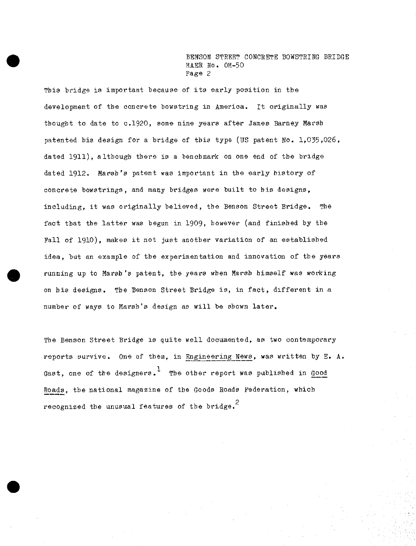This bridge is important because of its early position in the development of tbe concrete bowstring in America. It originally was thought to date to c.1920, some nine years after James Barney Marsh patented bis design for a bridge of this type (US patent No. 1,035,026, dated 1911), although there is a benchmark on one end of tbe bridge dated 1912. Marsh's patent was important in tbe early history of concrete bowstrings, and many bridges were built to bis designs, including, it was originally believed, the Benson Street Bridge. The fact that the latter was begun in 1909, however (and finished by the Fall of 1910), makes it not just another variation of an established idea, but an example of tbe experimentation and innovation of tbe years running up to Marsh's patent, the years when Marsh himself was working on his designs. The Benson Street Bridge is, in fact, different in a number of ways to Marsh's design as will be shown later.

The Benson Street Bridge is quite well documented, as two contemporary reports survive. One of them, in Engineering News, was written by E. A. Gast, one of the designers.<sup>1</sup> The other report was published in Good Roads, the national magazine of the Goods Roads Federation, which recognized the unusual features of the bridge.<sup>2</sup>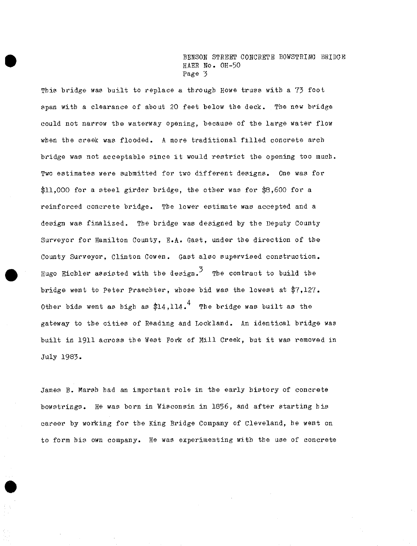This bridge was built to replace a through Howe truss with a 73 foot span with a clearance of about 20 feet below the deck. The new bridge could not narrow the waterway opening, because of the large water flow when the creek was flooded. <sup>A</sup> more traditional filled concrete arch bridge was not acceptable since it would restrict the opening too much. Two estimates were submitted for two different designs. One was for \$11,000 for a steel girder bridge, the other was for \$8,600 for a reinforced concrete bridge. The lower estimate was accepted and a design was finalized. The bridge was designed by the Deputy County Surveyor for Hamilton County, E.A. Gast, under the direction of the County Surveyor, Clinton Cowen. Gast also supervised construction. Hugo Eichler assisted with the design.<sup>3</sup> The contract to build the bridge went to Peter Praecbter, whose bid was the lowest at \$7,127. Other bids went as high as  $$14,114<sup>4</sup>$  The bridge was built as the gateway to the cities of Reading and Lockland. An identical bridge was built in <sup>1911</sup> across the Vest Fork of Mill Creek, but it was removed in July 1983.

James B. Marsh bad an important role in the early history of concrete bowstrings. He was born in Wisconsin in 1856, and after starting bis career by working for the King Bridge Company of Cleveland, be went on to form his own company. He was experimenting with the use of concrete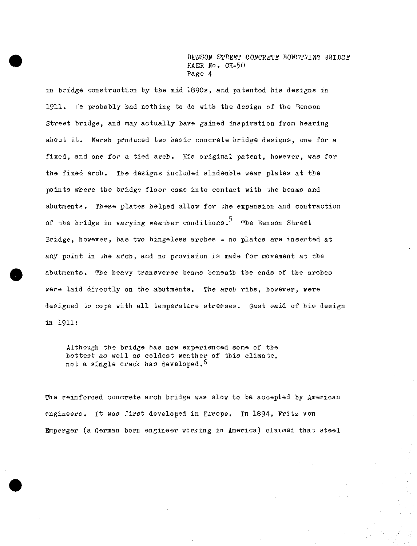in bridge construction by the mid 1890s, and patented bis designs in 1911. He probably bad notbing to do with tbe design of tbe Benson Street bridge, and may actually have gained inspiration from bearing about it. Marsb produced two basic concrete bridge designs, one for a fixed, and one for a tied arcb. His original patent, however, was for tbe fixed arcb. Tbe designs included slideable wear plates at tbe points wbere tbe bridge floor came into contact with tbe beams and abutments. Tbese plates helped allow for tbe expansion and contraction of the bridge in varying weather conditions.<sup>5</sup> The Benson Street Bridge, however, has two bingeless arches - no plates are inserted at any point in tbe arch, and no provision is made for movement at the abutments. Tbe heavy transverse beams beneath the ends of tbe arches were laid directly on tbe abutments. Tbe arch ribs, however, were designed to cope with all temperature stresses. Gast said of bis design in 1911:

Although tbe bridge has now experienced some of tbe hottest as well as coldest weather of this climate, not a single crack has developed.<sup>6</sup>

Tbe reinforced concrete arcb bridge was slow to be accepted by American engineers. It was first developed in Europe. In <sup>1894</sup>*,* Fritz von Emperger (a German born engineer working in America) claimed that steel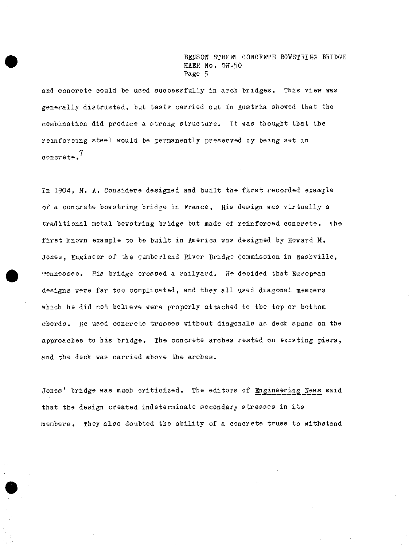and concrete could be used successfully in arch bridges. This view was generally distrusted, but tests carried out in Austria showed that the combination did produce a strong structure. It was thought that the reinforcing steel would be permanently preserved by being set in 7 concrete.

In 1904. M. A. Considere designed and built the first recorded example of a concrete bowstring bridge in France. His design was virtually a traditional metal bowstring bridge but made of reinforced concrete. The first known example to be built in America was designed by Howard M. Jones, Engineer of the Cumberland River Bridge Commission in Nashville, Tennessee. His bridge crossed a railyard. He decided that European designs were far too complicated, and they all used diagonal members which he did not believe were properly attached to the top or bottom chords. He used concrete trusses without diagonals as deck spans on the approaches to his bridge. The concrete arches rested on existing piers, and the deck was carried above the arches.

Jones' bridge was much criticized. The editors of Engineering News said that the design created indeterminate secondary stresses in its members. They also doubted the ability of a concrete truss to withstand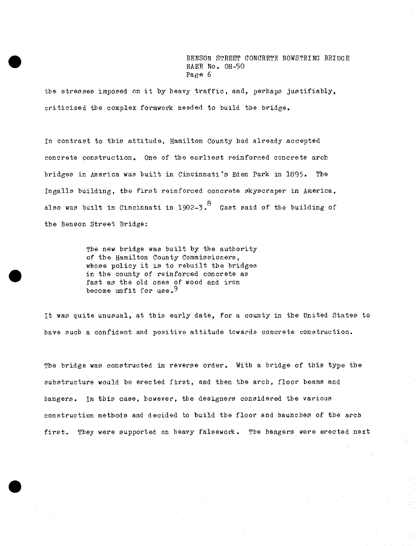the stresses imposed on it by heavy traffic, and, perhaps justifiably, criticized tbe complex formwork needed to build tbe bridge.

In contrast to this attitude, Hamilton County had already accepted concrete construction. One of the earliest reinforced concrete arcb bridges in America was built in Cincinnati's Eden Park in 1895. The Ingalls building, the first reinforced concrete skyscraper in America, also was built in Cincinnati in 1902-3. $^{\mathrm{8}}$  Gast said of the building of tbe Benson Street Bridge:

> The new bridge was built by the authority of the Hamilton County Commissioners, whose policy it is to rebuilt the bridges in tbe county of reinforced concrete as fast as the old ones of wood and iron become unfit for use.<sup>9</sup>

It was quite unusual, at this early date, for a county in the United States to have such a confident and positive attitude towards concrete construction.

The bridge was constructed in reverse order. With a bridge of this type the substructure would he erected first, and then the arch, floor beams and hangers. In this case, however, the designers considered the various construction methods and decided to build tbe floor and haunches of the arch first. They were supported on heavy falsework. The hangers were erected next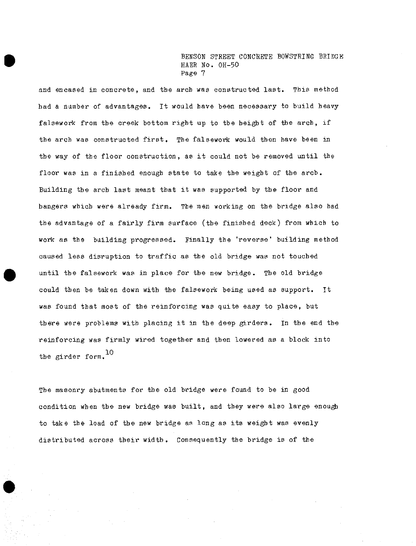and encased in concrete, and the arch was constructed last. This method had a number of advantages. It would have been necessary to build heavyfalsework from the creek bottom right up to the height of the arch, if the arch was constructed first. The falsework would then have been in the way of the floor construction, as it could not be removed until the floor was in a finished enough state to take the weight of the arch. Building the arch last meant that it was supported by the floor and bangers which were already firm. The men working on the bridge also bad the advantage of a fairly firm surface (the finished deck) from which to work as the building progressed. Finally the 'reverse' building method caused less disruption to traffic as the old bridge was not touched until the falsework was in place for the new bridge. The old bridge could then be taken down with the falsework being used as support. It was found that most of the reinforcing was quite easy to place, but there were problems with placing it in the deep girders. In the end the reinforcing was firmly wired together and then lowered as a block into the girder form.<sup>10</sup>

The masonry abutments for the old bridge were found to be in good condition when the new bridge was built, and they were also large enough to take the load of the new bridge as long as its weight was evenly distributed across their width. Consequently the bridge is of the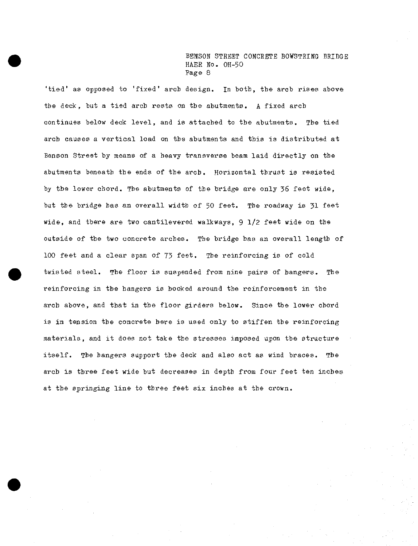'tied' as opposed to 'fixed' arcb design. In both, the arch rises above the deck, but a tied arcb rests on the abutments. A fixed arcb continues below deck level, and is attached to the abutments. The tied arcb causes a vertical load on tbe abutments and this is distributed at Benson Street by means of a heavy transverse beam laid directly on tbe abutments beneath the ends of the arch. Horizontal thrust is resisted by tbe lower cbord. Tbe abutments of the bridge are only 36 feet wide, but the bridge has an overall width of 50 feet. The roadway is 31 feet wide, and there are two cantilevered walkways, 9 1/2 feet wide on tbe outside of tbe two concrete arcbes. The bridge bas an overall length of 100 feet and a clear span of 73 feet. The reinforcing is of cold twisted steel. The floor is suspended from nine pairs of bangers. The reinforcing in tbe bangers is booked around tbe reinforcement in tbe arch above, and that in the floor girders below. Since the lower chord is in tension tbe concrete here is used only to stiffen tbe reinforcing materials, and it does not take tbe stresses imposed upon tbe structure itself. The bangers support tbe deck and also act as wind braces. Tbe arcb is three feet wide but decreases in depth from four feet ten inches at tbe springing line to three feet six inches at tbe crown.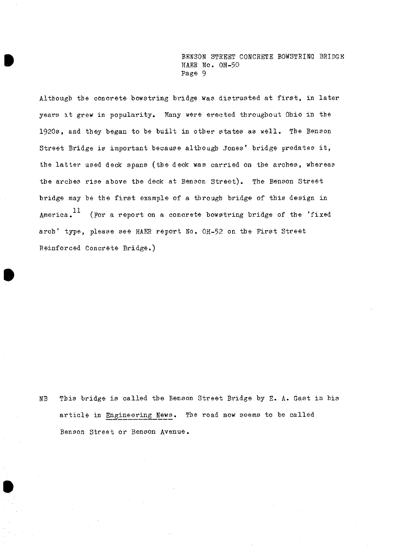Although the concrete bowstring bridge was distrusted at first, in later years it grew in popularity. Many were erected throughout Ohio in the 1920s, and they began to be built in other states as well. The Benson Street Bridge is important because although Jones' bridge predates it, the latter used deck spans (the deck was carried on the arches, whereas the arches rise above the deck at Benson Street). The Benson Street bridge may be the first example of <sup>a</sup> through bridge of this design in America.<sup>11</sup> (For a report on a concrete bowstring bridge of the 'fixed arch' type, please see HAER report No. OH-52 on the First Street Reinforced Concrete Bridge.)

NB This bridge is called the Benson Street Bridge by E. A. Gast in bis article in Engineering News. The road now seems to be called Benson Street or Benson Avenue.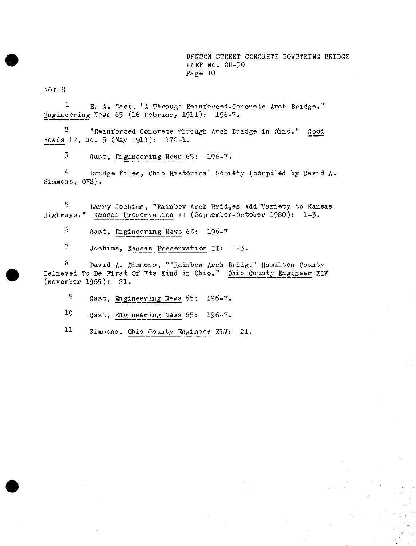NOTES

1 E- A. Gast, "A Through Reinforced-Concrete Arcb Bridge." Engineering News 65 (16 February 1911): 196-7.

2 "Reinforced Concrete Through Arch Bridge in Ohio." Good Roads 12, no. 5 (May 1911): 170-1.

 $\frac{3}{5}$  Gast, Engineering News 65: 196-7.

<sup>4</sup> Bridge files, Ohio Historical Society (compiled by David A. Simmons, OHS).

5 Larry Jochims, "Rainbow Arch Bridges Add Variety to Kansas<br>Highways." Kansas Preservation II (September-October 1980): 1-3. Kansas Preservation II (September-October 1980): 1-3.

6 Gast, Engineering News  $65: 196-7$ 

<sup>7</sup> Jocbims, Kansas Preservation II: 1-3.

8 David A. Simmons, "'Rainbow Arcb Bridge' Hamilton County Believed To Be First Of Its Kind in Ohio," Ohio County Engineer XLV (November 1985): 21.

9 Gast, Engineering News 65: 196-7.

 $10$  Gast, Engineering News 65: 196-7.

<sup>11</sup> Simmons, Ohio County Engineer XLV: 21.